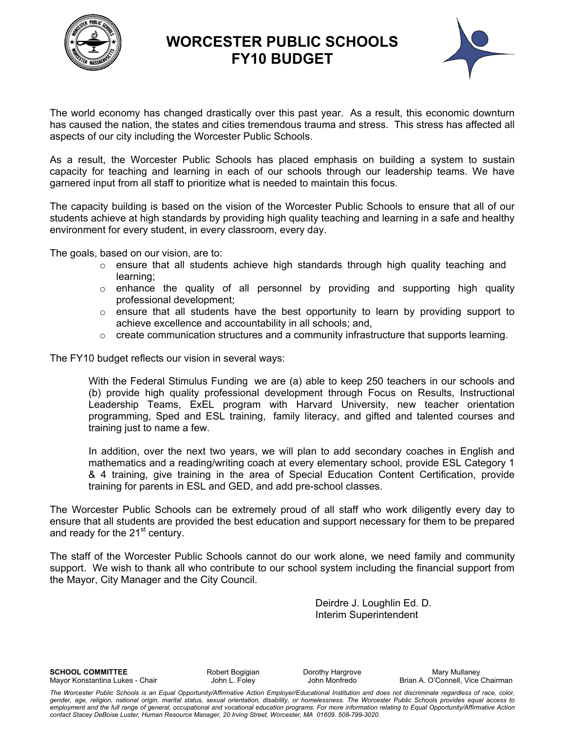

## **WORCESTER PUBLIC SCHOOLS FY10 BUDGET**



The world economy has changed drastically over this past year. As a result, this economic downturn has caused the nation, the states and cities tremendous trauma and stress. This stress has affected all aspects of our city including the Worcester Public Schools.

As a result, the Worcester Public Schools has placed emphasis on building a system to sustain capacity for teaching and learning in each of our schools through our leadership teams. We have garnered input from all staff to prioritize what is needed to maintain this focus.

The capacity building is based on the vision of the Worcester Public Schools to ensure that all of our students achieve at high standards by providing high quality teaching and learning in a safe and healthy environment for every student, in every classroom, every day.

The goals, based on our vision, are to:

- $\circ$  ensure that all students achieve high standards through high quality teaching and learning;
- o enhance the quality of all personnel by providing and supporting high quality professional development;
- $\circ$  ensure that all students have the best opportunity to learn by providing support to achieve excellence and accountability in all schools; and,
- $\circ$  create communication structures and a community infrastructure that supports learning.

The FY10 budget reflects our vision in several ways:

With the Federal Stimulus Funding we are (a) able to keep 250 teachers in our schools and (b) provide high quality professional development through Focus on Results, Instructional Leadership Teams, ExEL program with Harvard University, new teacher orientation programming, Sped and ESL training, family literacy, and gifted and talented courses and training just to name a few.

In addition, over the next two years, we will plan to add secondary coaches in English and mathematics and a reading/writing coach at every elementary school, provide ESL Category 1 & 4 training, give training in the area of Special Education Content Certification, provide training for parents in ESL and GED, and add pre-school classes.

The Worcester Public Schools can be extremely proud of all staff who work diligently every day to ensure that all students are provided the best education and support necessary for them to be prepared and ready for the  $21<sup>st</sup>$  century.

The staff of the Worcester Public Schools cannot do our work alone, we need family and community support. We wish to thank all who contribute to our school system including the financial support from the Mayor, City Manager and the City Council.

> Deirdre J. Loughlin Ed. D. Interim Superintendent

**SCHOOL COMMITTEE Robert Bogigian** Dorothy Hargrove Mary Mary Mullaney

Mayor Konstantina Lukes - Chair **John L. Foley** John Monfredo Brian A. O'Connell, Vice Chairman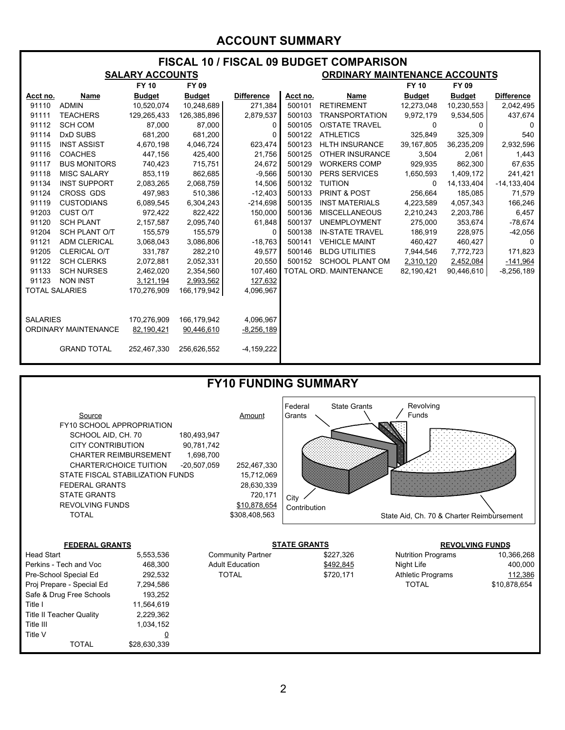### **ACCOUNT SUMMARY**

| <b>FISCAL 10 / FISCAL 09 BUDGET COMPARISON</b> |                      |                        |               |                   |                                      |                        |               |               |                   |  |  |
|------------------------------------------------|----------------------|------------------------|---------------|-------------------|--------------------------------------|------------------------|---------------|---------------|-------------------|--|--|
|                                                |                      | <b>SALARY ACCOUNTS</b> |               |                   | <b>ORDINARY MAINTENANCE ACCOUNTS</b> |                        |               |               |                   |  |  |
|                                                |                      | <b>FY 10</b><br>FY 09  |               |                   |                                      |                        | <b>FY 10</b>  | FY 09         |                   |  |  |
| Acct no.                                       | Name                 | <b>Budget</b>          | <b>Budget</b> | <b>Difference</b> | Acct no.                             | Name                   | <b>Budget</b> | <b>Budget</b> | <b>Difference</b> |  |  |
| 91110                                          | <b>ADMIN</b>         | 10,520,074             | 10,248,689    | 271,384           | 500101                               | <b>RETIREMENT</b>      | 12,273,048    | 10,230,553    | 2,042,495         |  |  |
| 91111                                          | <b>TEACHERS</b>      | 129,265,433            | 126,385,896   | 2,879,537         | 500103                               | <b>TRANSPORTATION</b>  | 9,972,179     | 9,534,505     | 437,674           |  |  |
| 91112                                          | <b>SCH COM</b>       | 87,000                 | 87,000        | 0                 | 500105                               | <b>O/STATE TRAVEL</b>  | $\Omega$      | $\Omega$      | $\mathbf{0}$      |  |  |
| 91114                                          | DxD SUBS             | 681,200                | 681,200       | 0                 | 500122                               | <b>ATHLETICS</b>       | 325,849       | 325,309       | 540               |  |  |
| 91115                                          | <b>INST ASSIST</b>   | 4,670,198              | 4,046,724     | 623,474           | 500123                               | <b>HLTH INSURANCE</b>  | 39,167,805    | 36,235,209    | 2,932,596         |  |  |
| 91116                                          | <b>COACHES</b>       | 447,156                | 425,400       | 21,756            | 500125                               | <b>OTHER INSURANCE</b> | 3,504         | 2,061         | 1,443             |  |  |
| 91117                                          | <b>BUS MONITORS</b>  | 740,423                | 715,751       | 24,672            | 500129                               | <b>WORKERS COMP</b>    | 929,935       | 862,300       | 67,635            |  |  |
| 91118                                          | <b>MISC SALARY</b>   | 853,119                | 862,685       | $-9,566$          | 500130                               | <b>PERS SERVICES</b>   | 1,650,593     | 1,409,172     | 241,421           |  |  |
| 91134                                          | <b>INST SUPPORT</b>  | 2,083,265              | 2,068,759     | 14,506            | 500132                               | <b>TUITION</b>         | $\Omega$      | 14,133,404    | $-14, 133, 404$   |  |  |
| 91124                                          | CROSS GDS            | 497,983                | 510,386       | $-12,403$         | 500133                               | PRINT & POST           | 256,664       | 185,085       | 71,579            |  |  |
| 91119                                          | <b>CUSTODIANS</b>    | 6,089,545              | 6,304,243     | $-214,698$        | 500135                               | <b>INST MATERIALS</b>  | 4,223,589     | 4,057,343     | 166,246           |  |  |
| 91203                                          | CUST O/T             | 972,422                | 822,422       | 150,000           | 500136                               | <b>MISCELLANEOUS</b>   | 2,210,243     | 2,203,786     | 6,457             |  |  |
| 91120                                          | <b>SCH PLANT</b>     | 2,157,587              | 2,095,740     | 61,848            | 500137                               | <b>UNEMPLOYMENT</b>    | 275,000       | 353,674       | $-78,674$         |  |  |
| 91204                                          | <b>SCH PLANT O/T</b> | 155,579                | 155,579       | 0                 | 500138                               | <b>IN-STATE TRAVEL</b> | 186,919       | 228,975       | $-42,056$         |  |  |
| 91121                                          | <b>ADM CLERICAL</b>  | 3,068,043              | 3,086,806     | $-18,763$         | 500141                               | <b>VEHICLE MAINT</b>   | 460,427       | 460,427       | 0                 |  |  |
| 91205                                          | <b>CLERICAL O/T</b>  | 331,787                | 282,210       | 49,577            | 500146                               | <b>BLDG UTILITIES</b>  | 7,944,546     | 7,772,723     | 171,823           |  |  |
| 91122                                          | <b>SCH CLERKS</b>    | 2,072,881              | 2,052,331     | 20,550            | 500152                               | <b>SCHOOL PLANT OM</b> | 2,310,120     | 2,452,084     | $-141,964$        |  |  |
| 91133                                          | <b>SCH NURSES</b>    | 2,462,020              | 2,354,560     | 107,460           |                                      | TOTAL ORD. MAINTENANCE | 82,190,421    | 90,446,610    | $-8,256,189$      |  |  |
| 91123                                          | <b>NON INST</b>      | 3,121,194              | 2,993,562     | 127,632           |                                      |                        |               |               |                   |  |  |
| <b>TOTAL SALARIES</b>                          |                      | 170,276,909            | 166,179,942   | 4,096,967         |                                      |                        |               |               |                   |  |  |
|                                                |                      |                        |               |                   |                                      |                        |               |               |                   |  |  |
|                                                |                      |                        |               |                   |                                      |                        |               |               |                   |  |  |
| <b>SALARIES</b>                                |                      | 170,276,909            | 166,179,942   | 4,096,967         |                                      |                        |               |               |                   |  |  |
| ORDINARY MAINTENANCE                           |                      | 82,190,421             | 90,446,610    | $-8,256,189$      |                                      |                        |               |               |                   |  |  |
|                                                |                      |                        |               |                   |                                      |                        |               |               |                   |  |  |
|                                                | <b>GRAND TOTAL</b>   | 252,467,330            | 256,626,552   | $-4,159,222$      |                                      |                        |               |               |                   |  |  |
|                                                |                      |                        |               |                   |                                      |                        |               |               |                   |  |  |



Title I 11,564,619 Title II Teacher Quality 2,229,362 Title III 1,034,152 Title V  $\qquad \qquad \overline{0}$ 

TOTAL \$28,630,339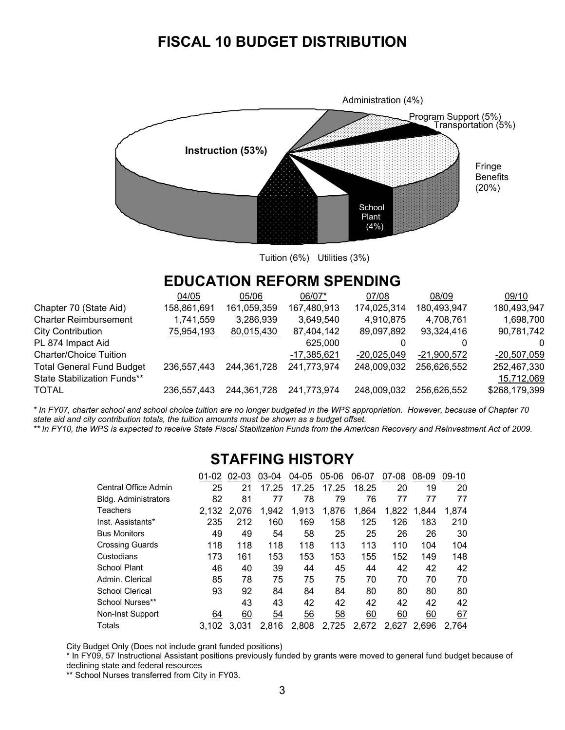# **FISCAL 10 BUDGET DISTRIBUTION**



Tuition (6%) Utilities (3%)

## **EDUCATION REFORM SPENDING**

|                                  | 04/05       | 05/06       | 06/07*      | 07/08       | 08/09         | 09/10         |
|----------------------------------|-------------|-------------|-------------|-------------|---------------|---------------|
| Chapter 70 (State Aid)           | 158,861,691 | 161,059,359 | 167,480,913 | 174,025,314 | 180,493,947   | 180,493,947   |
| <b>Charter Reimbursement</b>     | 1,741,559   | 3,286,939   | 3,649,540   | 4,910,875   | 4,708,761     | 1,698,700     |
| <b>City Contribution</b>         | 75,954,193  | 80,015,430  | 87,404,142  | 89,097,892  | 93,324,416    | 90,781,742    |
| PL 874 Impact Aid                |             |             | 625,000     |             |               | O             |
| Charter/Choice Tuition           |             |             | -17,385,621 | -20.025.049 | $-21.900.572$ | $-20,507,059$ |
| <b>Total General Fund Budget</b> | 236,557,443 | 244,361,728 | 241,773,974 | 248,009,032 | 256,626,552   | 252,467,330   |
| State Stabilization Funds**      |             |             |             |             |               | 15,712,069    |
| TOTAL                            | 236.557.443 | 244,361,728 | 241,773,974 | 248,009,032 | 256,626,552   | \$268,179,399 |
|                                  |             |             |             |             |               |               |

*\* In FY07, charter school and school choice tuition are no longer budgeted in the WPS appropriation. However, because of Chapter 70 state aid and city contribution totals, the tuition amounts must be shown as a budget offset.* 

\*\* In FY10, the WPS is expected to receive State Fiscal Stabilization Funds from the American Recovery and Reinvestment Act of 2009.

### **STAFFING HISTORY**

|                      | 01-02 | 02-03 | 03-04 | 04-05 | 05-06     | 06-07 | 07-08 | 08-09 | $09-10$ |
|----------------------|-------|-------|-------|-------|-----------|-------|-------|-------|---------|
| Central Office Admin | 25    | 21    | 17.25 | 17.25 | 17.25     | 18.25 | 20    | 19    | 20      |
| Bldg. Administrators | 82    | 81    | 77    | 78    | 79        | 76    | 77    | 77    | 77      |
| Teachers             | 2.132 | 2.076 | 1.942 | 1,913 | 1,876     | 1,864 | 1.822 | 1.844 | 1,874   |
| Inst. Assistants*    | 235   | 212   | 160   | 169   | 158       | 125   | 126   | 183   | 210     |
| Bus Monitors         | 49    | 49    | 54    | 58    | 25        | 25    | 26    | 26    | 30      |
| Crossing Guards      | 118   | 118   | 118   | 118   | 113       | 113   | 110   | 104   | 104     |
| Custodians           | 173   | 161   | 153   | 153   | 153       | 155   | 152   | 149   | 148     |
| School Plant         | 46    | 40    | 39    | 44    | 45        | 44    | 42    | 42    | 42      |
| Admin. Clerical      | 85    | 78    | 75    | 75    | 75        | 70    | 70    | 70    | 70      |
| School Clerical      | 93    | 92    | 84    | 84    | 84        | 80    | 80    | 80    | 80      |
| School Nurses**      |       | 43    | 43    | 42    | 42        | 42    | 42    | 42    | 42      |
| Non-Inst Support     | 64    | 60    | 54    | 56    | <u>58</u> | 60    | 60    | 60    | 67      |
| Totals               | 3,102 | 3.031 | 2.816 | 2,808 | 2,725     | 2,672 | 2,627 | 2,696 | 2.764   |

City Budget Only (Does not include grant funded positions)

\* In FY09, 57 Instructional Assistant positions previously funded by grants were moved to general fund budget because of declining state and federal resources

\*\* School Nurses transferred from City in FY03.